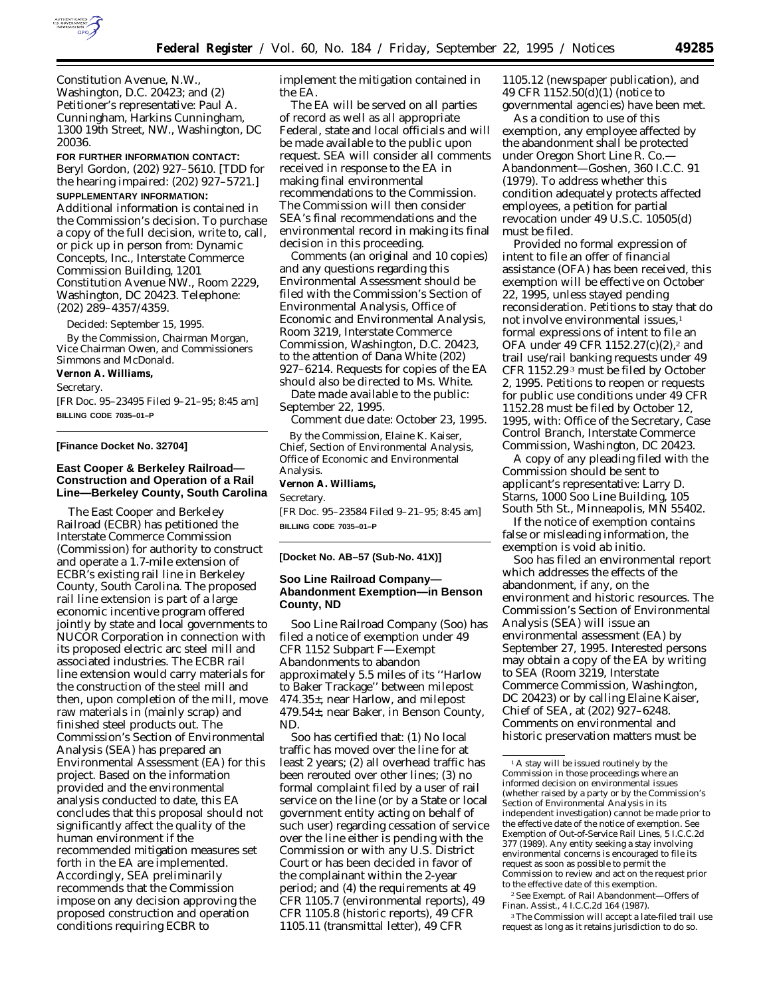

Constitution Avenue, N.W., Washington, D.C. 20423; and (2) Petitioner's representative: Paul A. Cunningham, Harkins Cunningham, 1300 19th Street, NW., Washington, DC 20036.

**FOR FURTHER INFORMATION CONTACT:** Beryl Gordon, (202) 927–5610. [TDD for the hearing impaired: (202) 927–5721.]

**SUPPLEMENTARY INFORMATION:** Additional information is contained in the Commission's decision. To purchase a copy of the full decision, write to, call, or pick up in person from: Dynamic Concepts, Inc., Interstate Commerce Commission Building, 1201 Constitution Avenue NW., Room 2229, Washington, DC 20423. Telephone: (202) 289–4357/4359.

Decided: September 15, 1995.

By the Commission, Chairman Morgan, Vice Chairman Owen, and Commissioners Simmons and McDonald.

**Vernon A. Williams,**

*Secretary.*

[FR Doc. 95–23495 Filed 9–21–95; 8:45 am] **BILLING CODE 7035–01–P**

### **[Finance Docket No. 32704]**

## **East Cooper & Berkeley Railroad— Construction and Operation of a Rail Line—Berkeley County, South Carolina**

The East Cooper and Berkeley Railroad (ECBR) has petitioned the Interstate Commerce Commission (Commission) for authority to construct and operate a 1.7-mile extension of ECBR's existing rail line in Berkeley County, South Carolina. The proposed rail line extension is part of a large economic incentive program offered jointly by state and local governments to NUCOR Corporation in connection with its proposed electric arc steel mill and associated industries. The ECBR rail line extension would carry materials for the construction of the steel mill and then, upon completion of the mill, move raw materials in (mainly scrap) and finished steel products out. The Commission's Section of Environmental Analysis (SEA) has prepared an Environmental Assessment (EA) for this project. Based on the information provided and the environmental analysis conducted to date, this EA concludes that this proposal should not significantly affect the quality of the human environment if the recommended mitigation measures set forth in the EA are implemented. Accordingly, SEA preliminarily recommends that the Commission impose on any decision approving the proposed construction and operation conditions requiring ECBR to

implement the mitigation contained in the EA.

The EA will be served on all parties of record as well as all appropriate Federal, state and local officials and will be made available to the public upon request. SEA will consider all comments received in response to the EA in making final environmental recommendations to the Commission. The Commission will then consider SEA's final recommendations and the environmental record in making its final decision in this proceeding.

Comments (an original and 10 copies) and any questions regarding this Environmental Assessment should be filed with the Commission's Section of Environmental Analysis, Office of Economic and Environmental Analysis, Room 3219, Interstate Commerce Commission, Washington, D.C. 20423, to the attention of Dana White (202) 927–6214. Requests for copies of the EA should also be directed to Ms. White.

*Date made available to the public:* September 22, 1995.

*Comment due date:* October 23, 1995.

By the Commission, Elaine K. Kaiser, Chief, Section of Environmental Analysis, Office of Economic and Environmental Analysis. **Vernon A. Williams,**

*Secretary.*

[FR Doc. 95–23584 Filed 9–21–95; 8:45 am] **BILLING CODE 7035–01–P**

#### **[Docket No. AB–57 (Sub-No. 41X)]**

## **Soo Line Railroad Company— Abandonment Exemption—in Benson County, ND**

Soo Line Railroad Company (Soo) has filed a notice of exemption under 49 CFR 1152 Subpart F—*Exempt Abandonments* to abandon approximately 5.5 miles of its ''Harlow to Baker Trackage'' between milepost 474.35±, near Harlow, and milepost 479.54±, near Baker, in Benson County, ND.

Soo has certified that: (1) No local traffic has moved over the line for at least 2 years; (2) all overhead traffic has been rerouted over other lines; (3) no formal complaint filed by a user of rail service on the line (or by a State or local government entity acting on behalf of such user) regarding cessation of service over the line either is pending with the Commission or with any U.S. District Court or has been decided in favor of the complainant within the 2-year period; and (4) the requirements at 49 CFR 1105.7 (environmental reports), 49 CFR 1105.8 (historic reports), 49 CFR 1105.11 (transmittal letter), 49 CFR

1105.12 (newspaper publication), and 49 CFR 1152.50(d)(1) (notice to governmental agencies) have been met.

As a condition to use of this exemption, any employee affected by the abandonment shall be protected under *Oregon Short Line R. Co.— Abandonment—Goshen,* 360 I.C.C. 91 (1979). To address whether this condition adequately protects affected employees, a petition for partial revocation under 49 U.S.C. 10505(d) must be filed.

Provided no formal expression of intent to file an offer of financial assistance (OFA) has been received, this exemption will be effective on October 22, 1995, unless stayed pending reconsideration. Petitions to stay that do not involve environmental issues,<sup>1</sup> formal expressions of intent to file an OFA under 49 CFR 1152.27(c)(2),2 and trail use/rail banking requests under 49 CFR 1152.29 3 must be filed by October 2, 1995. Petitions to reopen or requests for public use conditions under 49 CFR 1152.28 must be filed by October 12, 1995, with: Office of the Secretary, Case Control Branch, Interstate Commerce Commission, Washington, DC 20423.

A copy of any pleading filed with the Commission should be sent to applicant's representative: Larry D. Starns, 1000 Soo Line Building, 105 South 5th St., Minneapolis, MN 55402.

If the notice of exemption contains false or misleading information, the exemption is void *ab initio.*

Soo has filed an environmental report which addresses the effects of the abandonment, if any, on the environment and historic resources. The Commission's Section of Environmental Analysis (SEA) will issue an environmental assessment (EA) by September 27, 1995. Interested persons may obtain a copy of the EA by writing to SEA (Room 3219, Interstate Commerce Commission, Washington, DC 20423) or by calling Elaine Kaiser, Chief of SEA, at (202) 927–6248. Comments on environmental and historic preservation matters must be

2*See Exempt. of Rail Abandonment—Offers of Finan. Assist.,* 4 I.C.C.2d 164 (1987).

<sup>3</sup>The Commission will accept a late-filed trail use request as long as it retains jurisdiction to do so.

<sup>&</sup>lt;sup>1</sup>A stay will be issued routinely by the Commission in those proceedings where an informed decision on environmental issues (whether raised by a party or by the Commission's Section of Environmental Analysis in its independent investigation) cannot be made prior to the effective date of the notice of exemption. *See Exemption of Out-of-Service Rail Lines,* 5 I.C.C.2d 377 (1989). Any entity seeking a stay involving environmental concerns is encouraged to file its request as soon as possible to permit the Commission to review and act on the request prior to the effective date of this exemption.